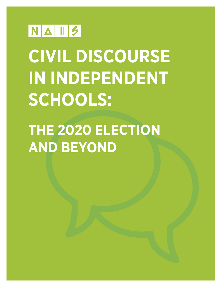

# **CIVIL DISCOURSE IN INDEPENDENT SCHOOLS:**

# **THE 2020 ELECTION AND BEYOND**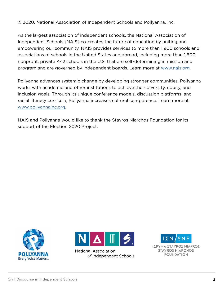© 2020, National Association of Independent Schools and Pollyanna, Inc.

As the largest association of independent schools, the National Association of Independent Schools (NAIS) co-creates the future of education by uniting and empowering our community. NAIS provides services to more than 1,900 schools and associations of schools in the United States and abroad, including more than 1,600 nonprofit, private K-12 schools in the U.S. that are self-determining in mission and program and are governed by independent boards. Learn more at [www.nais.org.](http://www.nais.org)

Pollyanna advances systemic change by developing stronger communities. Pollyanna works with academic and other institutions to achieve their diversity, equity, and inclusion goals. Through its unique conference models, discussion platforms, and racial literacy curricula, Pollyanna increases cultural competence. Learn more at [www.pollyannainc.org.](http://www.pollyannainc.org)

NAIS and Pollyanna would like to thank the Stavros Niarchos Foundation for its support of the Election 2020 Project.





**National Association** of Independent Schools

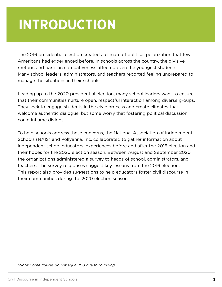## **INTRODUCTION**

The 2016 presidential election created a climate of political polarization that few Americans had experienced before. In schools across the country, the divisive rhetoric and partisan combativeness affected even the youngest students. Many school leaders, administrators, and teachers reported feeling unprepared to manage the situations in their schools.

Leading up to the 2020 presidential election, many school leaders want to ensure that their communities nurture open, respectful interaction among diverse groups. They seek to engage students in the civic process and create climates that welcome authentic dialogue, but some worry that fostering political discussion could inflame divides.

To help schools address these concerns, the National Association of Independent Schools (NAIS) and Pollyanna, Inc. collaborated to gather information about independent school educators' experiences before and after the 2016 election and their hopes for the 2020 election season. Between August and September 2020, the organizations administered a survey to heads of school, administrators, and teachers. The survey responses suggest key lessons from the 2016 election. This report also provides suggestions to help educators foster civil discourse in their communities during the 2020 election season.

*\*Note: Some figures do not equal 100 due to rounding.*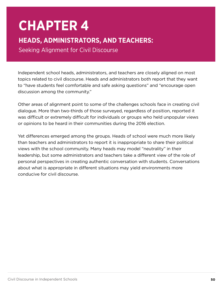## **CHAPTER 4**

#### **HEADS, ADMINISTRATORS, AND TEACHERS:**

Seeking Alignment for Civil Discourse

Independent school heads, administrators, and teachers are closely aligned on most topics related to civil discourse. Heads and administrators both report that they want to "have students feel comfortable and safe asking questions" and "encourage open discussion among the community."

Other areas of alignment point to some of the challenges schools face in creating civil dialogue. More than two-thirds of those surveyed, regardless of position, reported it was difficult or extremely difficult for individuals or groups who held unpopular views or opinions to be heard in their communities during the 2016 election.

Yet differences emerged among the groups. Heads of school were much more likely than teachers and administrators to report it is inappropriate to share their political views with the school community. Many heads may model "neutrality" in their leadership, but some administrators and teachers take a different view of the role of personal perspectives in creating authentic conversation with students. Conversations about what is appropriate in different situations may yield environments more conducive for civil discourse.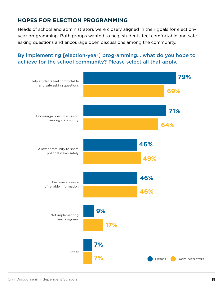#### **HOPES FOR ELECTION PROGRAMMING**

Heads of school and administrators were closely aligned in their goals for electionyear programming. Both groups wanted to help students feel comfortable and safe asking questions and encourage open discussions among the community.

#### By implementing [election-year] programming... what do you hope to achieve for the school community? Please select all that apply.

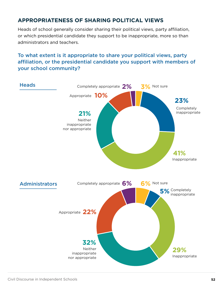#### **APPROPRIATENESS OF SHARING POLITICAL VIEWS**

Heads of school generally consider sharing their political views, party affiliation, or which presidential candidate they support to be inappropriate, more so than administrators and teachers.

#### To what extent is it appropriate to share your political views, party affiliation, or the presidential candidate you support with members of your school community?

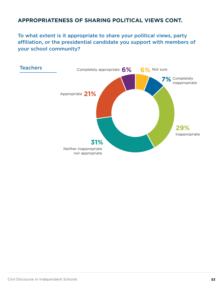#### **APPROPRIATENESS OF SHARING POLITICAL VIEWS CONT.**

To what extent is it appropriate to share your political views, party affiliation, or the presidential candidate you support with members of your school community?

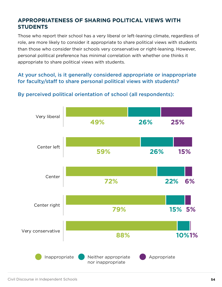#### **APPROPRIATENESS OF SHARING POLITICAL VIEWS WITH STUDENTS**

Those who report their school has a very liberal or left-leaning climate, regardless of role, are more likely to consider it appropriate to share political views with students than those who consider their schools very conservative or right-leaning. However, personal political preference has minimal correlation with whether one thinks it appropriate to share political views with students.

#### At your school, is it generally considered appropriate or inappropriate for faculty/staff to share personal political views with students?



#### By perceived political orientation of school (all respondents):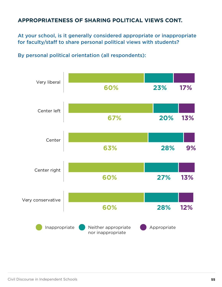#### **APPROPRIATENESS OF SHARING POLITICAL VIEWS CONT.**

At your school, is it generally considered appropriate or inappropriate for faculty/staff to share personal political views with students?

By personal political orientation (all respondents):

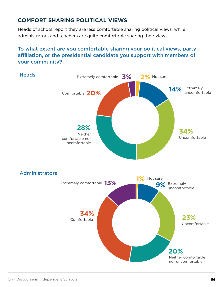#### **COMFORT SHARING POLITICAL VIEWS**

Heads of school report they are less comfortable sharing political views, while administrators and teachers are quite comfortable sharing their views.

#### To what extent are you comfortable sharing your political views, party affiliation, or the presidential candidate you support with members of your community?

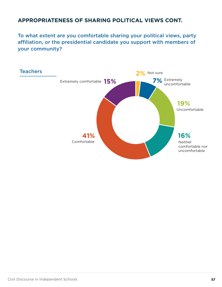#### **APPROPRIATENESS OF SHARING POLITICAL VIEWS CONT.**

To what extent are you comfortable sharing your political views, party affiliation, or the presidential candidate you support with members of your community?

![](_page_10_Figure_2.jpeg)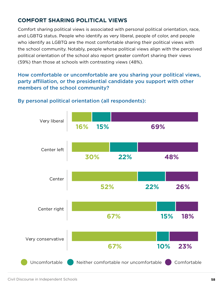#### **COMFORT SHARING POLITICAL VIEWS**

Comfort sharing political views is associated with personal political orientation, race, and LGBTQ status. People who identify as very liberal, people of color, and people who identify as LGBTQ are the most comfortable sharing their political views with the school community. Notably, people whose political views align with the perceived political orientation of the school also report greater comfort sharing their views (59%) than those at schools with contrasting views (48%).

#### How comfortable or uncomfortable are you sharing your political views, party affiliation, or the presidential candidate you support with other members of the school community?

![](_page_11_Figure_3.jpeg)

#### By personal political orientation (all respondents):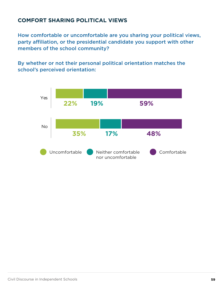#### **COMFORT SHARING POLITICAL VIEWS**

How comfortable or uncomfortable are you sharing your political views, party affiliation, or the presidential candidate you support with other members of the school community?

By whether or not their personal political orientation matches the school's perceived orientation:

![](_page_12_Figure_3.jpeg)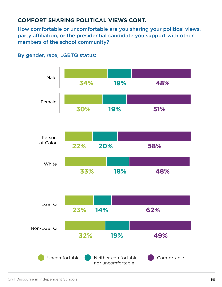#### **COMFORT SHARING POLITICAL VIEWS CONT.**

How comfortable or uncomfortable are you sharing your political views, party affiliation, or the presidential candidate you support with other members of the school community?

![](_page_13_Figure_2.jpeg)

By gender, race, LGBTQ status:

![](_page_13_Figure_4.jpeg)

![](_page_13_Figure_5.jpeg)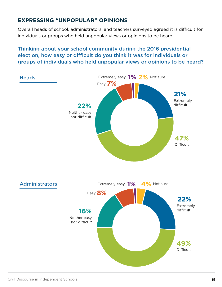#### **EXPRESSING "UNPOPULAR" OPINIONS**

Overall heads of school, administrators, and teachers surveyed agreed it is difficult for individuals or groups who held unpopular views or opinions to be heard.

#### Thinking about your school community during the 2016 presidential election, how easy or difficult do you think it was for individuals or groups of individuals who held unpopular views or opinions to be heard?

![](_page_14_Figure_3.jpeg)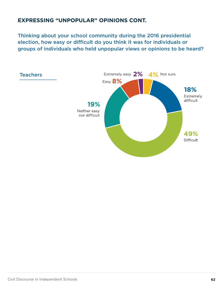#### **EXPRESSING "UNPOPULAR" OPINIONS CONT.**

Thinking about your school community during the 2016 presidential election, how easy or difficult do you think it was for individuals or groups of individuals who held unpopular views or opinions to be heard?

![](_page_15_Figure_2.jpeg)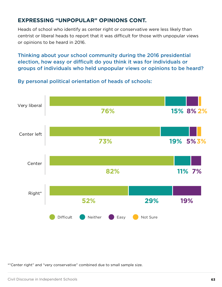#### **EXPRESSING "UNPOPULAR" OPINIONS CONT.**

Heads of school who identify as center right or conservative were less likely than centrist or liberal heads to report that it was difficult for those with unpopular views or opinions to be heard in 2016.

Thinking about your school community during the 2016 presidential election, how easy or difficult do you think it was for individuals or groups of individuals who held unpopular views or opinions to be heard?

![](_page_16_Figure_3.jpeg)

By personal political orientation of heads of schools:

\*"Center right" and "very conservative" combined due to small sample size.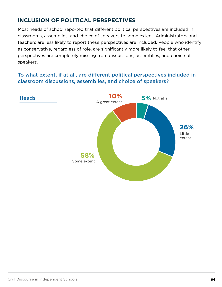#### **INCLUSION OF POLITICAL PERSPECTIVES**

Most heads of school reported that different political perspectives are included in classrooms, assemblies, and choice of speakers to some extent. Administrators and teachers are less likely to report these perspectives are included. People who identify as conservative, regardless of role, are significantly more likely to feel that other perspectives are completely missing from discussions, assemblies, and choice of speakers.

#### To what extent, if at all, are different political perspectives included in classroom discussions, assemblies, and choice of speakers?

![](_page_17_Figure_3.jpeg)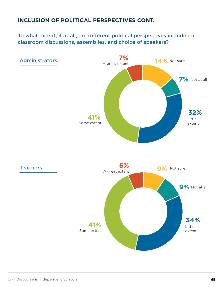#### **INCLUSION OF POLITICAL PERSPECTIVES CONT.**

To what extent, if at all, are different political perspectives included in classroom discussions, assemblies, and choice of speakers?

![](_page_18_Figure_2.jpeg)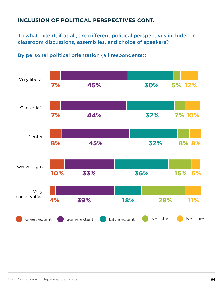#### **INCLUSION OF POLITICAL PERSPECTIVES CONT.**

To what extent, if at all, are different political perspectives included in classroom discussions, assemblies, and choice of speakers?

![](_page_19_Figure_2.jpeg)

By personal political orientation (all respondents):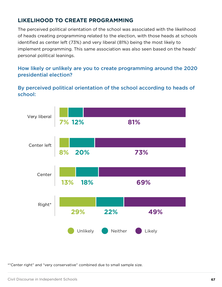#### **LIKELIHOOD TO CREATE PROGRAMMING**

The perceived political orientation of the school was associated with the likelihood of heads creating programming related to the election, with those heads at schools identified as center left (73%) and very liberal (81%) being the most likely to implement programming. This same association was also seen based on the heads' personal political leanings.

#### How likely or unlikely are you to create programming around the 2020 presidential election?

#### By perceived political orientation of the school according to heads of school:

![](_page_20_Figure_4.jpeg)

\*"Center right" and "very conservative" combined due to small sample size.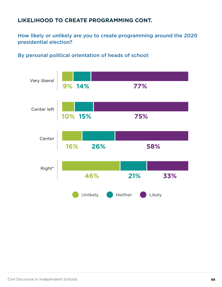#### **LIKELIHOOD TO CREATE PROGRAMMING CONT.**

How likely or unlikely are you to create programming around the 2020 presidential election?

By personal political orientation of heads of school:

![](_page_21_Figure_3.jpeg)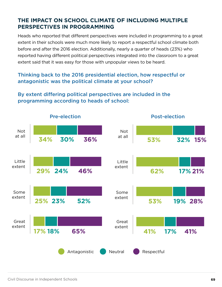#### **THE IMPACT ON SCHOOL CLIMATE OF INCLUDING MULTIPLE PERSPECTIVES IN PROGRAMMING**

Heads who reported that different perspectives were included in programming to a great extent in their schools were much more likely to report a respectful school climate both before and after the 2016 election. Additionally, nearly a quarter of heads (23%) who reported having different political perspectives integrated into the classroom to a great extent said that it was easy for those with unpopular views to be heard.

#### Thinking back to the 2016 presidential election, how respectful or antagonistic was the political climate at your school?

#### By extent differing political perspectives are included in the programming according to heads of school:

![](_page_22_Figure_4.jpeg)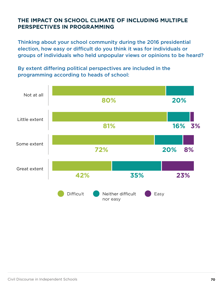#### **THE IMPACT ON SCHOOL CLIMATE OF INCLUDING MULTIPLE PERSPECTIVES IN PROGRAMMING**

Thinking about your school community during the 2016 presidential election, how easy or difficult do you think it was for individuals or groups of individuals who held unpopular views or opinions to be heard?

By extent differing political perspectives are included in the programming according to heads of school:

![](_page_23_Figure_3.jpeg)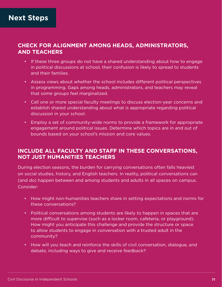#### **CHECK FOR ALIGNMENT AMONG HEADS, ADMINISTRATORS, AND TEACHERS**

- If these three groups do not have a shared understanding about how to engage in political discussions at school, their confusion is likely to spread to students and their families.
- Assess views about whether the school includes different political perspectives in programming. Gaps among heads, administrators, and teachers may reveal that some groups feel marginalized.
- Call one or more special faculty meetings to discuss election-year concerns and establish shared understanding about what is appropriate regarding political discussion in your school.
- Employ a set of community-wide norms to provide a framework for appropriate engagement around political issues. Determine which topics are in and out of bounds based on your school's mission and core values.

#### **INCLUDE ALL FACULTY AND STAFF IN THESE CONVERSATIONS, NOT JUST HUMANITIES TEACHERS**

During election seasons, the burden for carrying conversations often falls heaviest on social studies, history, and English teachers. In reality, political conversations can (and do) happen between and among students and adults in all spaces on campus. Consider:

- How might non-humanities teachers share in setting expectations and norms for these conversations?
- Political conversations among students are likely to happen in spaces that are more difficult to supervise (such as a locker room, cafeteria, or playground). How might you anticipate this challenge and provide the structure or space to allow students to engage in conversation with a trusted adult in the community?
- How will you teach and reinforce the skills of civil conversation, dialogue, and debate, including ways to give and receive feedback?